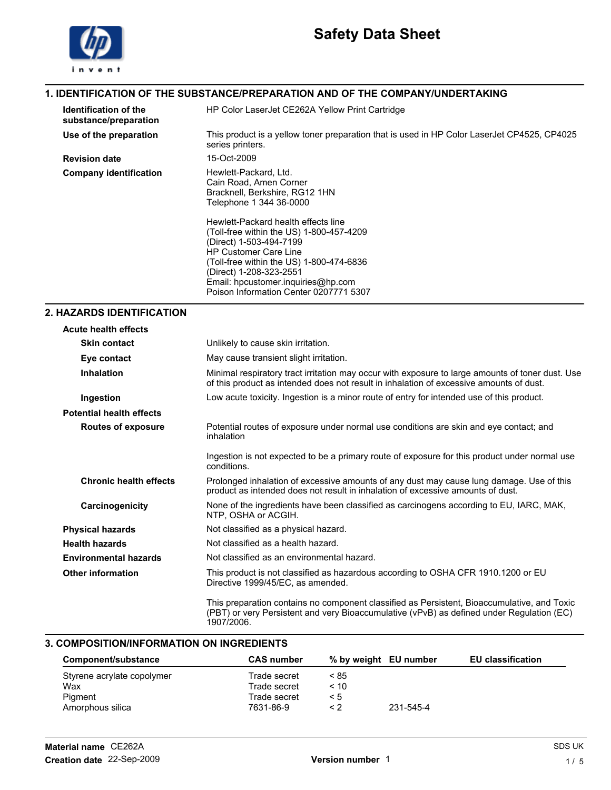

## 1. IDENTIFICATION OF THE SUBSTANCE/PREPARATION AND OF THE COMPANY/UNDERTAKING

| Identification of the<br>substance/preparation | HP Color LaserJet CE262A Yellow Print Cartridge                                                                                                                                                                                                                                                                                                                                                                   |
|------------------------------------------------|-------------------------------------------------------------------------------------------------------------------------------------------------------------------------------------------------------------------------------------------------------------------------------------------------------------------------------------------------------------------------------------------------------------------|
| Use of the preparation                         | This product is a yellow toner preparation that is used in HP Color LaserJet CP4525, CP4025<br>series printers.                                                                                                                                                                                                                                                                                                   |
| <b>Revision date</b>                           | 15-Oct-2009                                                                                                                                                                                                                                                                                                                                                                                                       |
| <b>Company identification</b>                  | Hewlett-Packard, Ltd.<br>Cain Road, Amen Corner<br>Bracknell, Berkshire, RG12 1HN<br>Telephone 1 344 36-0000<br>Hewlett-Packard health effects line<br>(Toll-free within the US) 1-800-457-4209<br>(Direct) 1-503-494-7199<br><b>HP Customer Care Line</b><br>(Toll-free within the US) 1-800-474-6836<br>(Direct) 1-208-323-2551<br>Email: hpcustomer.inquiries@hp.com<br>Poison Information Center 0207771 5307 |

# 2. HAZARDS IDENTIFICATION

| <b>Acute health effects</b>     |                                                                                                                                                                                                        |
|---------------------------------|--------------------------------------------------------------------------------------------------------------------------------------------------------------------------------------------------------|
| <b>Skin contact</b>             | Unlikely to cause skin irritation.                                                                                                                                                                     |
| Eye contact                     | May cause transient slight irritation.                                                                                                                                                                 |
| <b>Inhalation</b>               | Minimal respiratory tract irritation may occur with exposure to large amounts of toner dust. Use<br>of this product as intended does not result in inhalation of excessive amounts of dust.            |
| Ingestion                       | Low acute toxicity. Ingestion is a minor route of entry for intended use of this product.                                                                                                              |
| <b>Potential health effects</b> |                                                                                                                                                                                                        |
| <b>Routes of exposure</b>       | Potential routes of exposure under normal use conditions are skin and eye contact; and<br>inhalation                                                                                                   |
|                                 | Ingestion is not expected to be a primary route of exposure for this product under normal use<br>conditions.                                                                                           |
| <b>Chronic health effects</b>   | Prolonged inhalation of excessive amounts of any dust may cause lung damage. Use of this<br>product as intended does not result in inhalation of excessive amounts of dust.                            |
| Carcinogenicity                 | None of the ingredients have been classified as carcinogens according to EU, IARC, MAK,<br>NTP, OSHA or ACGIH.                                                                                         |
| <b>Physical hazards</b>         | Not classified as a physical hazard.                                                                                                                                                                   |
| <b>Health hazards</b>           | Not classified as a health hazard.                                                                                                                                                                     |
| <b>Environmental hazards</b>    | Not classified as an environmental hazard.                                                                                                                                                             |
| <b>Other information</b>        | This product is not classified as hazardous according to OSHA CFR 1910.1200 or EU<br>Directive 1999/45/EC, as amended.                                                                                 |
|                                 | This preparation contains no component classified as Persistent, Bioaccumulative, and Toxic<br>(PBT) or very Persistent and very Bioaccumulative (vPvB) as defined under Regulation (EC)<br>1907/2006. |

## 3. COMPOSITION/INFORMATION ON INGREDIENTS

| Component/substance        | <b>CAS number</b> | % by weight EU number |           | <b>EU classification</b> |
|----------------------------|-------------------|-----------------------|-----------|--------------------------|
| Styrene acrylate copolymer | Trade secret      | < 85                  |           |                          |
| Wax                        | Trade secret      | < 10                  |           |                          |
| Pigment                    | Trade secret      | $\leq 5$              |           |                          |
| Amorphous silica           | 7631-86-9         | < 2                   | 231-545-4 |                          |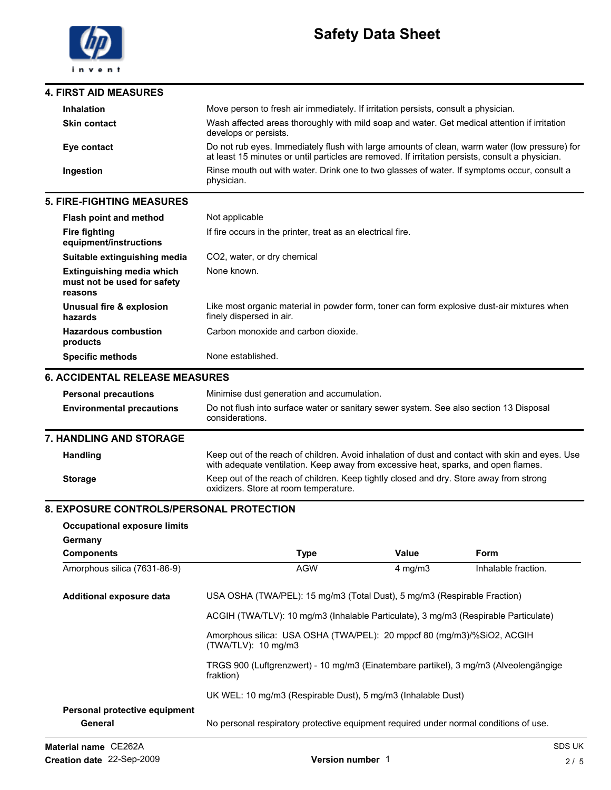

| I. FIRST AID MEASURES |                                                                                                                                                                                                   |
|-----------------------|---------------------------------------------------------------------------------------------------------------------------------------------------------------------------------------------------|
| <b>Inhalation</b>     | Move person to fresh air immediately. If irritation persists, consult a physician.                                                                                                                |
| <b>Skin contact</b>   | Wash affected areas thoroughly with mild soap and water. Get medical attention if irritation<br>develops or persists.                                                                             |
| Eye contact           | Do not rub eyes. Immediately flush with large amounts of clean, warm water (low pressure) for<br>at least 15 minutes or until particles are removed. If irritation persists, consult a physician. |
| Ingestion             | Rinse mouth out with water. Drink one to two glasses of water. If symptoms occur, consult a<br>physician.                                                                                         |

#### 5. FIRE-FIGHTING MEASURES

| Flash point and method                                                     | Not applicable                                                                                                         |  |
|----------------------------------------------------------------------------|------------------------------------------------------------------------------------------------------------------------|--|
| Fire fighting<br>equipment/instructions                                    | If fire occurs in the printer, treat as an electrical fire.                                                            |  |
| Suitable extinguishing media                                               | CO2, water, or dry chemical                                                                                            |  |
| <b>Extinguishing media which</b><br>must not be used for safety<br>reasons | None known.                                                                                                            |  |
| Unusual fire & explosion<br>hazards                                        | Like most organic material in powder form, toner can form explosive dust-air mixtures when<br>finely dispersed in air. |  |
| <b>Hazardous combustion</b><br>products                                    | Carbon monoxide and carbon dioxide.                                                                                    |  |
| <b>Specific methods</b>                                                    | None established.                                                                                                      |  |
| 6. ACCIDENTAL RELEASE MEASURES                                             |                                                                                                                        |  |
| <b>Personal precautions</b>                                                | Minimise dust generation and accumulation.                                                                             |  |
| <b>Environmental precautions</b>                                           | Do not flush into surface water or sanitary sewer system. See also section 13 Disposal                                 |  |

# 7. HANDLING AND STORAGE

| <b>Handling</b> | Keep out of the reach of children. Avoid inhalation of dust and contact with skin and eyes. Use<br>with adequate ventilation. Keep away from excessive heat, sparks, and open flames. |
|-----------------|---------------------------------------------------------------------------------------------------------------------------------------------------------------------------------------|
| <b>Storage</b>  | Keep out of the reach of children. Keep tightly closed and dry. Store away from strong<br>oxidizers. Store at room temperature.                                                       |

## 8. EXPOSURE CONTROLS/PERSONAL PROTECTION

considerations.

| <b>Occupational exposure limits</b>      |                                                                                                   |      |                                                                                       |                     |
|------------------------------------------|---------------------------------------------------------------------------------------------------|------|---------------------------------------------------------------------------------------|---------------------|
| Germany                                  |                                                                                                   |      |                                                                                       |                     |
| <b>Components</b>                        |                                                                                                   | Type | Value                                                                                 | <b>Form</b>         |
| Amorphous silica (7631-86-9)             |                                                                                                   | AGW  | 4 mg/m $3$                                                                            | Inhalable fraction. |
| <b>Additional exposure data</b>          | USA OSHA (TWA/PEL): 15 mg/m3 (Total Dust), 5 mg/m3 (Respirable Fraction)                          |      |                                                                                       |                     |
|                                          | ACGIH (TWA/TLV): 10 mg/m3 (Inhalable Particulate), 3 mg/m3 (Respirable Particulate)               |      |                                                                                       |                     |
|                                          | Amorphous silica: USA OSHA (TWA/PEL): 20 mppcf 80 (mg/m3)/%SiO2, ACGIH<br>(TWA/TLV): 10 mg/m3     |      |                                                                                       |                     |
|                                          | TRGS 900 (Luftgrenzwert) - 10 mg/m3 (Einatembare partikel), 3 mg/m3 (Alveolengängige<br>fraktion) |      |                                                                                       |                     |
|                                          |                                                                                                   |      | UK WEL: 10 mg/m3 (Respirable Dust), 5 mg/m3 (Inhalable Dust)                          |                     |
| Personal protective equipment<br>General |                                                                                                   |      | No personal respiratory protective equipment required under normal conditions of use. |                     |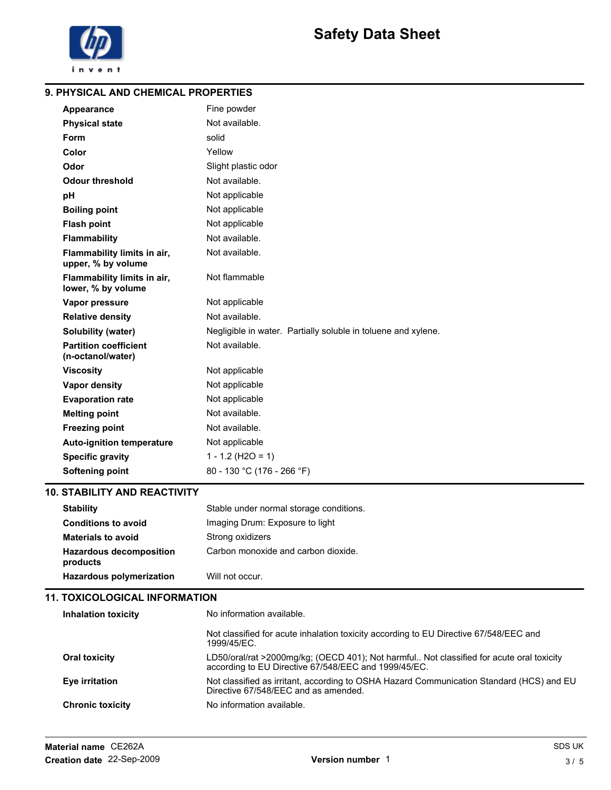

#### 9. PHYSICAL AND CHEMICAL PROPERTIES

| Appearance                                        | Fine powder                                                   |
|---------------------------------------------------|---------------------------------------------------------------|
| <b>Physical state</b>                             | Not available.                                                |
| <b>Form</b>                                       | solid                                                         |
| Color                                             | Yellow                                                        |
| Odor                                              | Slight plastic odor                                           |
| <b>Odour threshold</b>                            | Not available.                                                |
| pH                                                | Not applicable                                                |
| <b>Boiling point</b>                              | Not applicable                                                |
| <b>Flash point</b>                                | Not applicable                                                |
| <b>Flammability</b>                               | Not available.                                                |
| Flammability limits in air,<br>upper, % by volume | Not available.                                                |
| Flammability limits in air,<br>lower, % by volume | Not flammable                                                 |
| Vapor pressure                                    | Not applicable                                                |
| <b>Relative density</b>                           | Not available.                                                |
| Solubility (water)                                | Negligible in water. Partially soluble in toluene and xylene. |
| <b>Partition coefficient</b><br>(n-octanol/water) | Not available.                                                |
| <b>Viscosity</b>                                  | Not applicable                                                |
| <b>Vapor density</b>                              | Not applicable                                                |
| <b>Evaporation rate</b>                           | Not applicable                                                |
| <b>Melting point</b>                              | Not available.                                                |
| <b>Freezing point</b>                             | Not available.                                                |
| <b>Auto-ignition temperature</b>                  | Not applicable                                                |
| <b>Specific gravity</b>                           | $1 - 1.2$ (H2O = 1)                                           |
| Softening point                                   | 80 - 130 °C (176 - 266 °F)                                    |

# 10. STABILITY AND REACTIVITY

| <b>Stability</b>                           | Stable under normal storage conditions. |
|--------------------------------------------|-----------------------------------------|
| <b>Conditions to avoid</b>                 | Imaging Drum: Exposure to light         |
| <b>Materials to avoid</b>                  | Strong oxidizers                        |
| <b>Hazardous decomposition</b><br>products | Carbon monoxide and carbon dioxide.     |
| <b>Hazardous polymerization</b>            | Will not occur.                         |

### 11. TOXICOLOGICAL INFORMATION

| <b>Inhalation toxicity</b> | No information available.                                                                                                                        |
|----------------------------|--------------------------------------------------------------------------------------------------------------------------------------------------|
|                            | Not classified for acute inhalation toxicity according to EU Directive 67/548/EEC and<br>1999/45/EC.                                             |
| Oral toxicity              | LD50/oral/rat >2000mg/kg; (OECD 401); Not harmful Not classified for acute oral toxicity<br>according to EU Directive 67/548/EEC and 1999/45/EC. |
| Eye irritation             | Not classified as irritant, according to OSHA Hazard Communication Standard (HCS) and EU<br>Directive 67/548/EEC and as amended.                 |
| <b>Chronic toxicity</b>    | No information available.                                                                                                                        |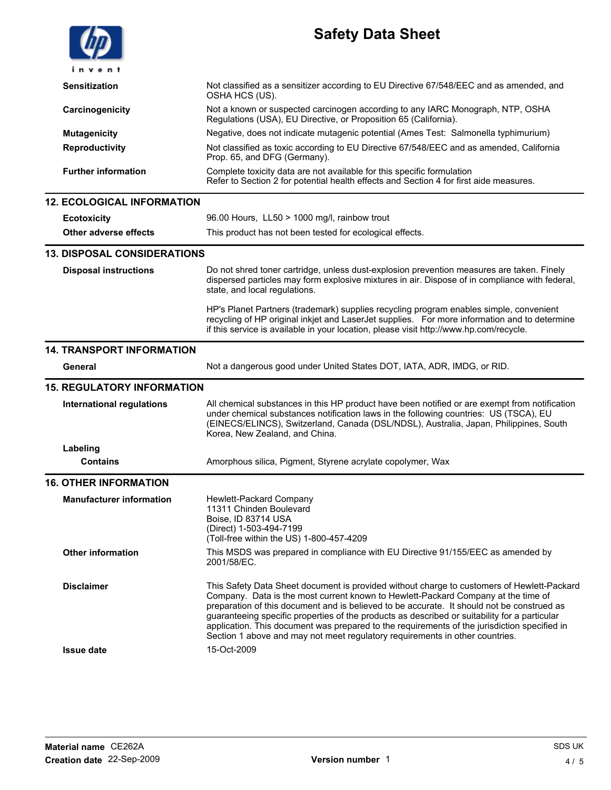# Safety Data Sheet Not classified as a sensitizer according to EU Directive 67/548/EEC and as amended, and OSHA HCS (US). Sensitization Carcinogenicity **Not a known or suspected carcinogen according to any IARC Monograph, NTP, OSHA** Regulations (USA), EU Directive, or Proposition 65 (California). Mutagenicity **Negative, does not indicate mutagenic potential (Ames Test: Salmonella typhimurium)** Reproductivity Not classified as toxic according to EU Directive 67/548/EEC and as amended, California Prop. 65, and DFG (Germany). Further information Complete toxicity data are not available for this specific formulation Refer to Section 2 for potential health effects and Section 4 for first aide measures. 12. ECOLOGICAL INFORMATION Ecotoxicity 96.00 Hours, LL50 > 1000 mg/l, rainbow trout Other adverse effects This product has not been tested for ecological effects. 13. DISPOSAL CONSIDERATIONS Disposal instructions **Do not shred toner cartridge, unless dust-explosion prevention measures are taken. Finely** dispersed particles may form explosive mixtures in air. Dispose of in compliance with federal, state, and local regulations. HP's Planet Partners (trademark) supplies recycling program enables simple, convenient recycling of HP original inkjet and LaserJet supplies. For more information and to determine if this service is available in your location, please visit http://www.hp.com/recycle. 14. TRANSPORT INFORMATION General **Not a dangerous good under United States DOT, IATA, ADR, IMDG, or RID.** 15. REGULATORY INFORMATION International regulations All chemical substances in this HP product have been notified or are exempt from notification under chemical substances notification laws in the following countries: US (TSCA), EU (EINECS/ELINCS), Switzerland, Canada (DSL/NDSL), Australia, Japan, Philippines, South Korea, New Zealand, and China. Labeling Contains **Amorphous silica, Pigment, Styrene acrylate copolymer, Wax** 16. OTHER INFORMATION Manufacturer information Hewlett-Packard Company 11311 Chinden Boulevard Boise, ID 83714 USA (Direct) 1-503-494-7199 (Toll-free within the US) 1-800-457-4209 Other information This MSDS was prepared in compliance with EU Directive 91/155/EEC as amended by 2001/58/EC. Disclaimer This Safety Data Sheet document is provided without charge to customers of Hewlett-Packard Company. Data is the most current known to Hewlett-Packard Company at the time of preparation of this document and is believed to be accurate. It should not be construed as guaranteeing specific properties of the products as described or suitability for a particular application. This document was prepared to the requirements of the jurisdiction specified in Section 1 above and may not meet regulatory requirements in other countries. Issue date 15-Oct-2009